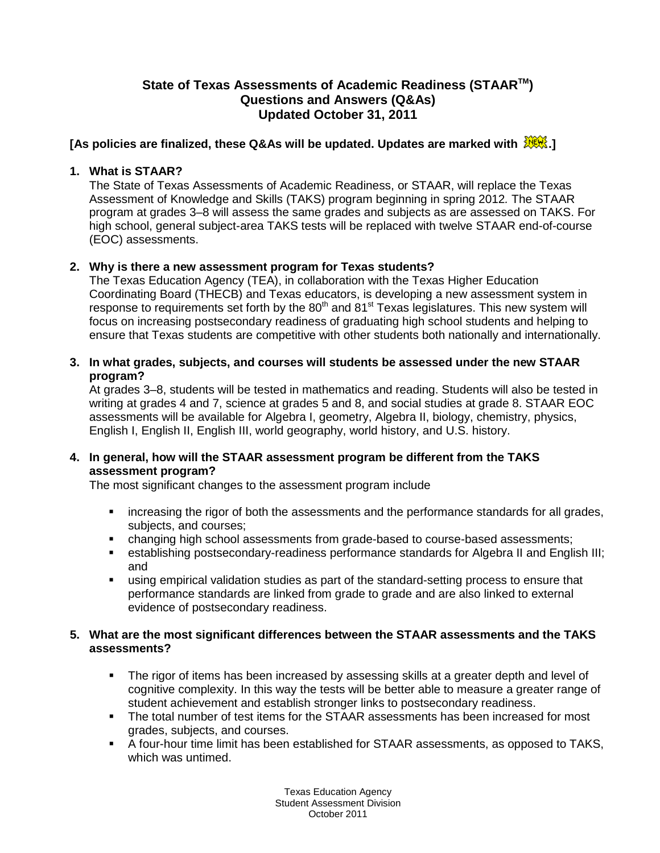# **State of Texas Assessments of Academic Readiness (STAARTM) Questions and Answers (Q&As) Updated October 31, 2011**

# **[As policies are finalized, these Q&As will be updated. Updates are marked with .]**

# **1. What is STAAR?**

The State of Texas Assessments of Academic Readiness, or STAAR, will replace the Texas Assessment of Knowledge and Skills (TAKS) program beginning in spring 2012*.* The STAAR program at grades 3–8 will assess the same grades and subjects as are assessed on TAKS. For high school, general subject-area TAKS tests will be replaced with twelve STAAR end-of-course (EOC) assessments.

# **2. Why is there a new assessment program for Texas students?**

The Texas Education Agency (TEA), in collaboration with the Texas Higher Education Coordinating Board (THECB) and Texas educators, is developing a new assessment system in response to requirements set forth by the 80<sup>th</sup> and 81<sup>st</sup> Texas legislatures. This new system will focus on increasing postsecondary readiness of graduating high school students and helping to ensure that Texas students are competitive with other students both nationally and internationally.

# **3. In what grades, subjects, and courses will students be assessed under the new STAAR program?**

At grades 3–8, students will be tested in mathematics and reading. Students will also be tested in writing at grades 4 and 7, science at grades 5 and 8, and social studies at grade 8. STAAR EOC assessments will be available for Algebra I, geometry, Algebra II, biology, chemistry, physics, English I, English II, English III, world geography, world history, and U.S. history.

# **4. In general, how will the STAAR assessment program be different from the TAKS assessment program?**

The most significant changes to the assessment program include

- increasing the rigor of both the assessments and the performance standards for all grades, subjects, and courses;
- changing high school assessments from grade-based to course-based assessments;
- establishing postsecondary-readiness performance standards for Algebra II and English III; and
- using empirical validation studies as part of the standard-setting process to ensure that performance standards are linked from grade to grade and are also linked to external evidence of postsecondary readiness.

# **5. What are the most significant differences between the STAAR assessments and the TAKS assessments?**

- The rigor of items has been increased by assessing skills at a greater depth and level of cognitive complexity. In this way the tests will be better able to measure a greater range of student achievement and establish stronger links to postsecondary readiness.
- The total number of test items for the STAAR assessments has been increased for most grades, subjects, and courses.
- A four-hour time limit has been established for STAAR assessments, as opposed to TAKS, which was untimed.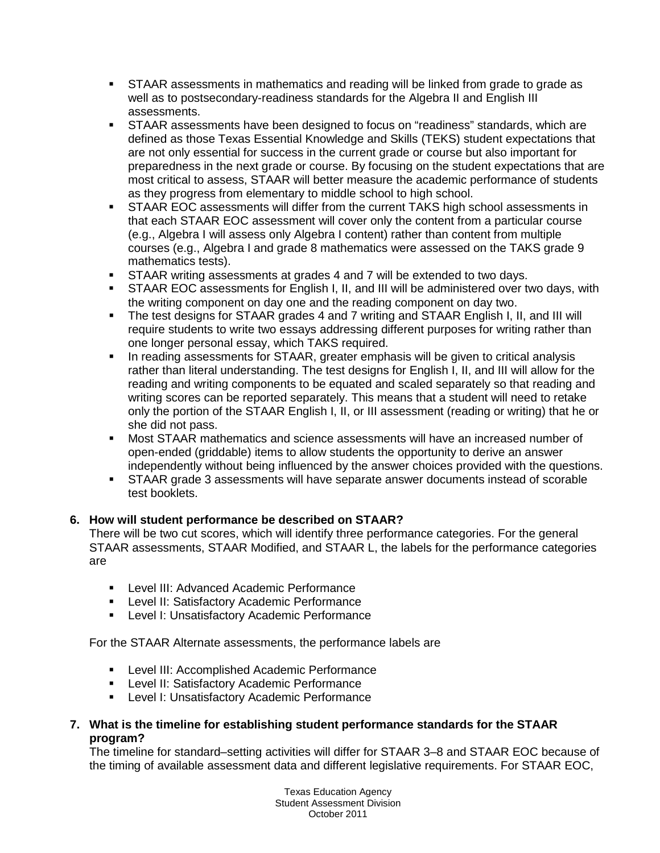- STAAR assessments in mathematics and reading will be linked from grade to grade as well as to postsecondary-readiness standards for the Algebra II and English III assessments.
- STAAR assessments have been designed to focus on "readiness" standards, which are defined as those Texas Essential Knowledge and Skills (TEKS) student expectations that are not only essential for success in the current grade or course but also important for preparedness in the next grade or course. By focusing on the student expectations that are most critical to assess, STAAR will better measure the academic performance of students as they progress from elementary to middle school to high school.
- STAAR EOC assessments will differ from the current TAKS high school assessments in that each STAAR EOC assessment will cover only the content from a particular course (e.g., Algebra I will assess only Algebra I content) rather than content from multiple courses (e.g., Algebra I and grade 8 mathematics were assessed on the TAKS grade 9 mathematics tests).
- STAAR writing assessments at grades 4 and 7 will be extended to two days.
- STAAR EOC assessments for English I, II, and III will be administered over two days, with the writing component on day one and the reading component on day two.
- The test designs for STAAR grades 4 and 7 writing and STAAR English I, II, and III will require students to write two essays addressing different purposes for writing rather than one longer personal essay, which TAKS required.
- In reading assessments for STAAR, greater emphasis will be given to critical analysis rather than literal understanding. The test designs for English I, II, and III will allow for the reading and writing components to be equated and scaled separately so that reading and writing scores can be reported separately. This means that a student will need to retake only the portion of the STAAR English I, II, or III assessment (reading or writing) that he or she did not pass.
- Most STAAR mathematics and science assessments will have an increased number of open-ended (griddable) items to allow students the opportunity to derive an answer independently without being influenced by the answer choices provided with the questions.
- **STAAR grade 3 assessments will have separate answer documents instead of scorable** test booklets.

# **6. How will student performance be described on STAAR?**

There will be two cut scores, which will identify three performance categories. For the general STAAR assessments, STAAR Modified, and STAAR L, the labels for the performance categories are

- **Level III: Advanced Academic Performance**
- **EXECTE: Level II: Satisfactory Academic Performance**
- **-** Level I: Unsatisfactory Academic Performance

For the STAAR Alternate assessments, the performance labels are

- **EXECTE:** Level III: Accomplished Academic Performance
- **EXECTE: Level II: Satisfactory Academic Performance**
- **-** Level I: Unsatisfactory Academic Performance

# **7. What is the timeline for establishing student performance standards for the STAAR program?**

The timeline for standard–setting activities will differ for STAAR 3–8 and STAAR EOC because of the timing of available assessment data and different legislative requirements. For STAAR EOC,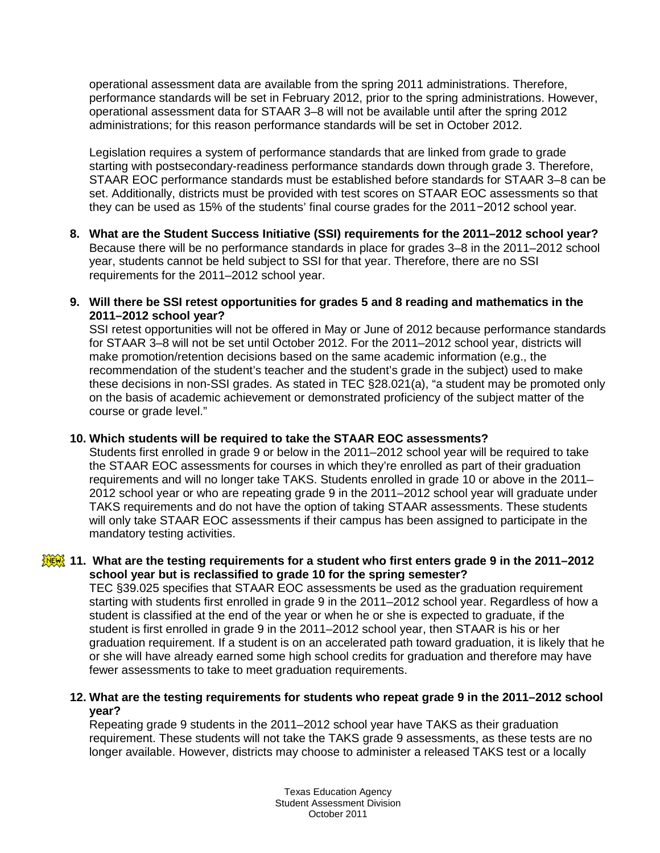operational assessment data are available from the spring 2011 administrations. Therefore, performance standards will be set in February 2012, prior to the spring administrations. However, operational assessment data for STAAR 3–8 will not be available until after the spring 2012 administrations; for this reason performance standards will be set in October 2012.

Legislation requires a system of performance standards that are linked from grade to grade starting with postsecondary-readiness performance standards down through grade 3. Therefore, STAAR EOC performance standards must be established before standards for STAAR 3–8 can be set. Additionally, districts must be provided with test scores on STAAR EOC assessments so that they can be used as 15% of the students' final course grades for the 2011−2012 school year.

- **8. What are the Student Success Initiative (SSI) requirements for the 2011–2012 school year?** Because there will be no performance standards in place for grades 3–8 in the 2011–2012 school year, students cannot be held subject to SSI for that year. Therefore, there are no SSI requirements for the 2011–2012 school year.
- **9. Will there be SSI retest opportunities for grades 5 and 8 reading and mathematics in the 2011–2012 school year?**

SSI retest opportunities will not be offered in May or June of 2012 because performance standards for STAAR 3–8 will not be set until October 2012. For the 2011–2012 school year, districts will make promotion/retention decisions based on the same academic information (e.g., the recommendation of the student's teacher and the student's grade in the subject) used to make these decisions in non-SSI grades. As stated in TEC §28.021(a), "a student may be promoted only on the basis of academic achievement or demonstrated proficiency of the subject matter of the course or grade level."

# **10. Which students will be required to take the STAAR EOC assessments?**

Students first enrolled in grade 9 or below in the 2011–2012 school year will be required to take the STAAR EOC assessments for courses in which they're enrolled as part of their graduation requirements and will no longer take TAKS. Students enrolled in grade 10 or above in the 2011– 2012 school year or who are repeating grade 9 in the 2011–2012 school year will graduate under TAKS requirements and do not have the option of taking STAAR assessments. These students will only take STAAR EOC assessments if their campus has been assigned to participate in the mandatory testing activities.

# **11. What are the testing requirements for a student who first enters grade 9 in the 2011–2012 school year but is reclassified to grade 10 for the spring semester?**

TEC §39.025 specifies that STAAR EOC assessments be used as the graduation requirement starting with students first enrolled in grade 9 in the 2011–2012 school year. Regardless of how a student is classified at the end of the year or when he or she is expected to graduate, if the student is first enrolled in grade 9 in the 2011–2012 school year, then STAAR is his or her graduation requirement. If a student is on an accelerated path toward graduation, it is likely that he or she will have already earned some high school credits for graduation and therefore may have fewer assessments to take to meet graduation requirements.

# **12. What are the testing requirements for students who repeat grade 9 in the 2011–2012 school year?**

Repeating grade 9 students in the 2011–2012 school year have TAKS as their graduation requirement. These students will not take the TAKS grade 9 assessments, as these tests are no longer available. However, districts may choose to administer a released TAKS test or a locally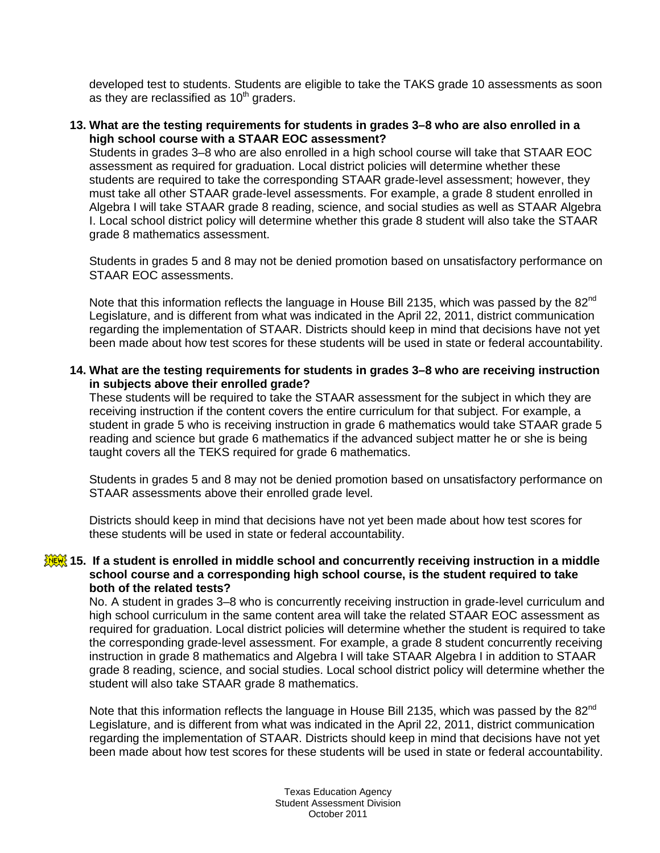developed test to students. Students are eligible to take the TAKS grade 10 assessments as soon as they are reclassified as  $10<sup>th</sup>$  graders.

#### **13. What are the testing requirements for students in grades 3–8 who are also enrolled in a high school course with a STAAR EOC assessment?**

Students in grades 3–8 who are also enrolled in a high school course will take that STAAR EOC assessment as required for graduation. Local district policies will determine whether these students are required to take the corresponding STAAR grade-level assessment; however, they must take all other STAAR grade-level assessments. For example, a grade 8 student enrolled in Algebra I will take STAAR grade 8 reading, science, and social studies as well as STAAR Algebra I. Local school district policy will determine whether this grade 8 student will also take the STAAR grade 8 mathematics assessment.

Students in grades 5 and 8 may not be denied promotion based on unsatisfactory performance on STAAR EOC assessments.

Note that this information reflects the language in House Bill 2135, which was passed by the 82<sup>nd</sup> Legislature, and is different from what was indicated in the April 22, 2011, district communication regarding the implementation of STAAR. Districts should keep in mind that decisions have not yet been made about how test scores for these students will be used in state or federal accountability.

#### **14. What are the testing requirements for students in grades 3–8 who are receiving instruction in subjects above their enrolled grade?**

These students will be required to take the STAAR assessment for the subject in which they are receiving instruction if the content covers the entire curriculum for that subject. For example, a student in grade 5 who is receiving instruction in grade 6 mathematics would take STAAR grade 5 reading and science but grade 6 mathematics if the advanced subject matter he or she is being taught covers all the TEKS required for grade 6 mathematics.

Students in grades 5 and 8 may not be denied promotion based on unsatisfactory performance on STAAR assessments above their enrolled grade level.

Districts should keep in mind that decisions have not yet been made about how test scores for these students will be used in state or federal accountability.

#### **15. If a student is enrolled in middle school and concurrently receiving instruction in a middle school course and a corresponding high school course, is the student required to take both of the related tests?**

No. A student in grades 3–8 who is concurrently receiving instruction in grade-level curriculum and high school curriculum in the same content area will take the related STAAR EOC assessment as required for graduation. Local district policies will determine whether the student is required to take the corresponding grade-level assessment. For example, a grade 8 student concurrently receiving instruction in grade 8 mathematics and Algebra I will take STAAR Algebra I in addition to STAAR grade 8 reading, science, and social studies. Local school district policy will determine whether the student will also take STAAR grade 8 mathematics.

Note that this information reflects the language in House Bill 2135, which was passed by the  $82^{nd}$ Legislature, and is different from what was indicated in the April 22, 2011, district communication regarding the implementation of STAAR. Districts should keep in mind that decisions have not yet been made about how test scores for these students will be used in state or federal accountability.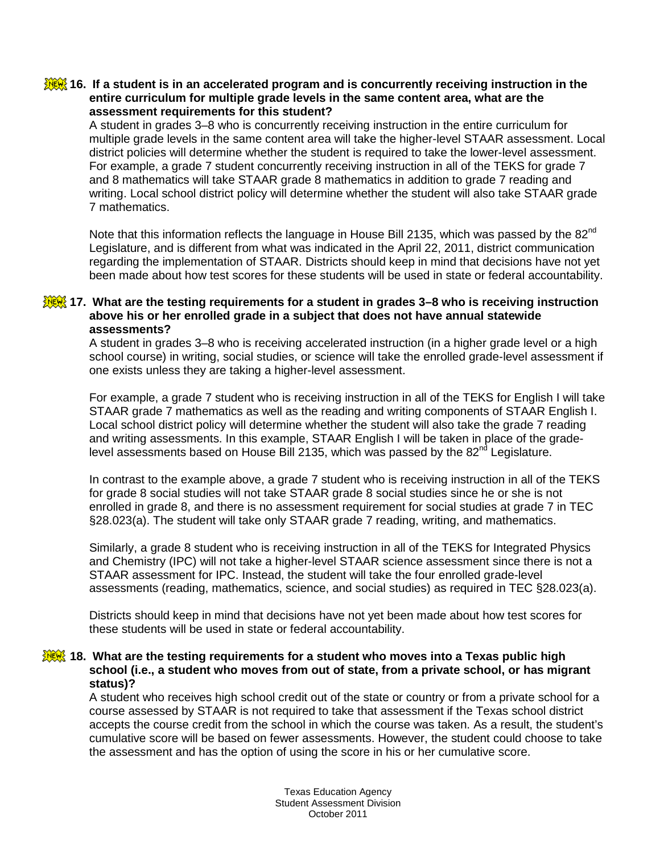### **16. If a student is in an accelerated program and is concurrently receiving instruction in the entire curriculum for multiple grade levels in the same content area, what are the assessment requirements for this student?**

A student in grades 3–8 who is concurrently receiving instruction in the entire curriculum for multiple grade levels in the same content area will take the higher-level STAAR assessment. Local district policies will determine whether the student is required to take the lower-level assessment. For example, a grade 7 student concurrently receiving instruction in all of the TEKS for grade 7 and 8 mathematics will take STAAR grade 8 mathematics in addition to grade 7 reading and writing. Local school district policy will determine whether the student will also take STAAR grade 7 mathematics.

Note that this information reflects the language in House Bill 2135, which was passed by the 82<sup>nd</sup> Legislature, and is different from what was indicated in the April 22, 2011, district communication regarding the implementation of STAAR. Districts should keep in mind that decisions have not yet been made about how test scores for these students will be used in state or federal accountability.

## **17. What are the testing requirements for a student in grades 3–8 who is receiving instruction above his or her enrolled grade in a subject that does not have annual statewide assessments?**

A student in grades 3–8 who is receiving accelerated instruction (in a higher grade level or a high school course) in writing, social studies, or science will take the enrolled grade-level assessment if one exists unless they are taking a higher-level assessment.

For example, a grade 7 student who is receiving instruction in all of the TEKS for English I will take STAAR grade 7 mathematics as well as the reading and writing components of STAAR English I. Local school district policy will determine whether the student will also take the grade 7 reading and writing assessments. In this example, STAAR English I will be taken in place of the gradelevel assessments based on House Bill 2135, which was passed by the 82<sup>nd</sup> Legislature.

In contrast to the example above, a grade 7 student who is receiving instruction in all of the TEKS for grade 8 social studies will not take STAAR grade 8 social studies since he or she is not enrolled in grade 8, and there is no assessment requirement for social studies at grade 7 in TEC §28.023(a). The student will take only STAAR grade 7 reading, writing, and mathematics.

Similarly, a grade 8 student who is receiving instruction in all of the TEKS for Integrated Physics and Chemistry (IPC) will not take a higher-level STAAR science assessment since there is not a STAAR assessment for IPC. Instead, the student will take the four enrolled grade-level assessments (reading, mathematics, science, and social studies) as required in TEC §28.023(a).

Districts should keep in mind that decisions have not yet been made about how test scores for these students will be used in state or federal accountability.

#### **18. What are the testing requirements for a student who moves into a Texas public high school (i.e., a student who moves from out of state, from a private school, or has migrant status)?**

A student who receives high school credit out of the state or country or from a private school for a course assessed by STAAR is not required to take that assessment if the Texas school district accepts the course credit from the school in which the course was taken. As a result, the student's cumulative score will be based on fewer assessments. However, the student could choose to take the assessment and has the option of using the score in his or her cumulative score.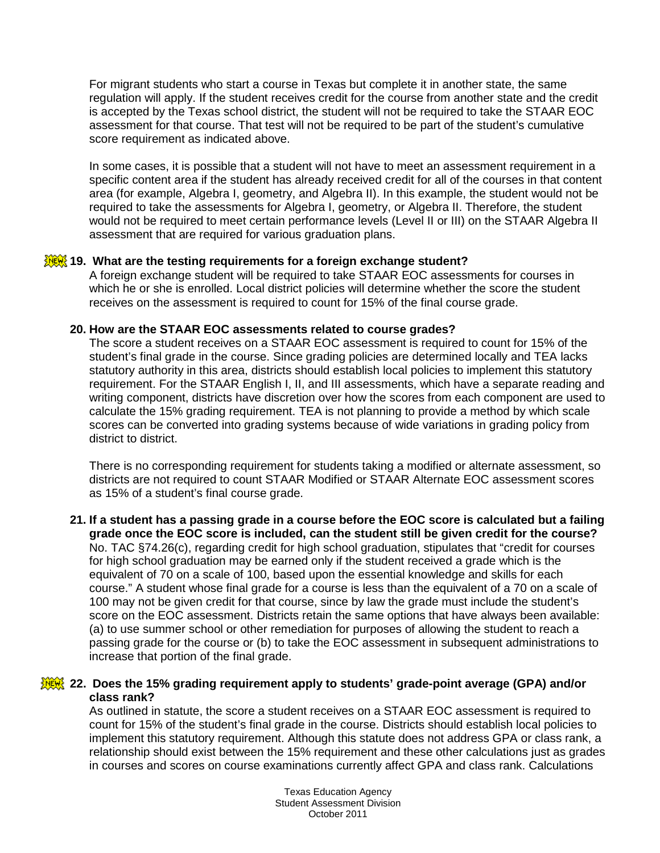For migrant students who start a course in Texas but complete it in another state, the same regulation will apply. If the student receives credit for the course from another state and the credit is accepted by the Texas school district, the student will not be required to take the STAAR EOC assessment for that course. That test will not be required to be part of the student's cumulative score requirement as indicated above.

In some cases, it is possible that a student will not have to meet an assessment requirement in a specific content area if the student has already received credit for all of the courses in that content area (for example, Algebra I, geometry, and Algebra II). In this example, the student would not be required to take the assessments for Algebra I, geometry, or Algebra II. Therefore, the student would not be required to meet certain performance levels (Level II or III) on the STAAR Algebra II assessment that are required for various graduation plans.

# **19.** What are the testing requirements for a foreign exchange student?

A foreign exchange student will be required to take STAAR EOC assessments for courses in which he or she is enrolled. Local district policies will determine whether the score the student receives on the assessment is required to count for 15% of the final course grade.

### **20. How are the STAAR EOC assessments related to course grades?**

The score a student receives on a STAAR EOC assessment is required to count for 15% of the student's final grade in the course. Since grading policies are determined locally and TEA lacks statutory authority in this area, districts should establish local policies to implement this statutory requirement. For the STAAR English I, II, and III assessments, which have a separate reading and writing component, districts have discretion over how the scores from each component are used to calculate the 15% grading requirement. TEA is not planning to provide a method by which scale scores can be converted into grading systems because of wide variations in grading policy from district to district.

There is no corresponding requirement for students taking a modified or alternate assessment, so districts are not required to count STAAR Modified or STAAR Alternate EOC assessment scores as 15% of a student's final course grade.

**21. If a student has a passing grade in a course before the EOC score is calculated but a failing grade once the EOC score is included, can the student still be given credit for the course?** No. TAC §74.26(c), regarding credit for high school graduation, stipulates that "credit for courses for high school graduation may be earned only if the student received a grade which is the equivalent of 70 on a scale of 100, based upon the essential knowledge and skills for each course." A student whose final grade for a course is less than the equivalent of a 70 on a scale of 100 may not be given credit for that course, since by law the grade must include the student's score on the EOC assessment. Districts retain the same options that have always been available: (a) to use summer school or other remediation for purposes of allowing the student to reach a passing grade for the course or (b) to take the EOC assessment in subsequent administrations to increase that portion of the final grade.

# **22. Does the 15% grading requirement apply to students' grade-point average (GPA) and/or class rank?**

As outlined in statute, the score a student receives on a STAAR EOC assessment is required to count for 15% of the student's final grade in the course. Districts should establish local policies to implement this statutory requirement. Although this statute does not address GPA or class rank, a relationship should exist between the 15% requirement and these other calculations just as grades in courses and scores on course examinations currently affect GPA and class rank. Calculations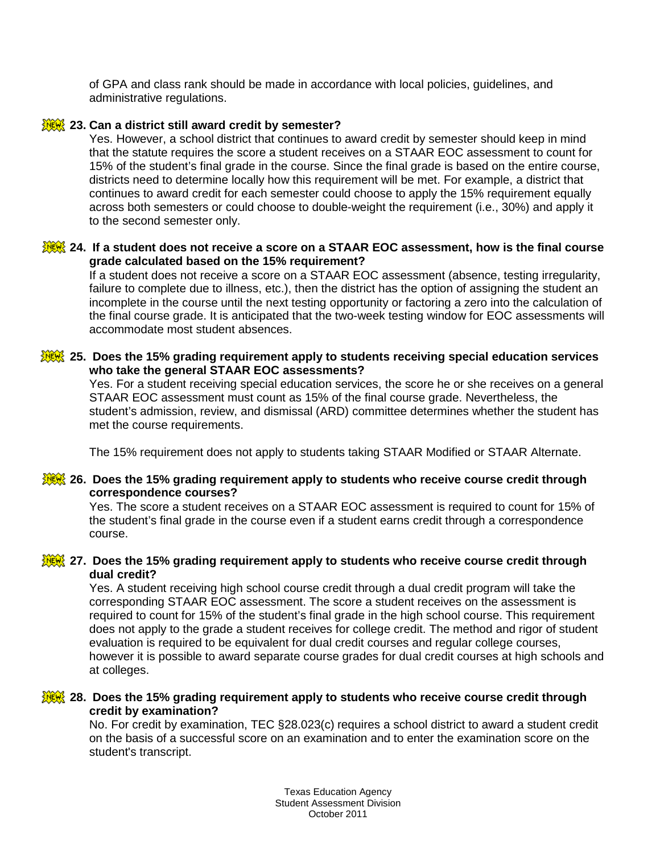of GPA and class rank should be made in accordance with local policies, guidelines, and administrative regulations.

## **23. Can a district still award credit by semester?**

Yes. However, a school district that continues to award credit by semester should keep in mind that the statute requires the score a student receives on a STAAR EOC assessment to count for 15% of the student's final grade in the course. Since the final grade is based on the entire course, districts need to determine locally how this requirement will be met. For example, a district that continues to award credit for each semester could choose to apply the 15% requirement equally across both semesters or could choose to double-weight the requirement (i.e., 30%) and apply it to the second semester only.

## **24. If a student does not receive a score on a STAAR EOC assessment, how is the final course grade calculated based on the 15% requirement?**

If a student does not receive a score on a STAAR EOC assessment (absence, testing irregularity, failure to complete due to illness, etc.), then the district has the option of assigning the student an incomplete in the course until the next testing opportunity or factoring a zero into the calculation of the final course grade. It is anticipated that the two-week testing window for EOC assessments will accommodate most student absences.

### **25. Does the 15% grading requirement apply to students receiving special education services who take the general STAAR EOC assessments?**

Yes. For a student receiving special education services, the score he or she receives on a general STAAR EOC assessment must count as 15% of the final course grade. Nevertheless, the student's admission, review, and dismissal (ARD) committee determines whether the student has met the course requirements.

The 15% requirement does not apply to students taking STAAR Modified or STAAR Alternate.

### **26. Does the 15% grading requirement apply to students who receive course credit through correspondence courses?**

Yes. The score a student receives on a STAAR EOC assessment is required to count for 15% of the student's final grade in the course even if a student earns credit through a correspondence course.

### **27. Does the 15% grading requirement apply to students who receive course credit through dual credit?**

Yes. A student receiving high school course credit through a dual credit program will take the corresponding STAAR EOC assessment. The score a student receives on the assessment is required to count for 15% of the student's final grade in the high school course. This requirement does not apply to the grade a student receives for college credit. The method and rigor of student evaluation is required to be equivalent for dual credit courses and regular college courses, however it is possible to award separate course grades for dual credit courses at high schools and at colleges.

### **28. Does the 15% grading requirement apply to students who receive course credit through credit by examination?**

No. For credit by examination, TEC §28.023(c) requires a school district to award a student credit on the basis of a successful score on an examination and to enter the examination score on the student's transcript.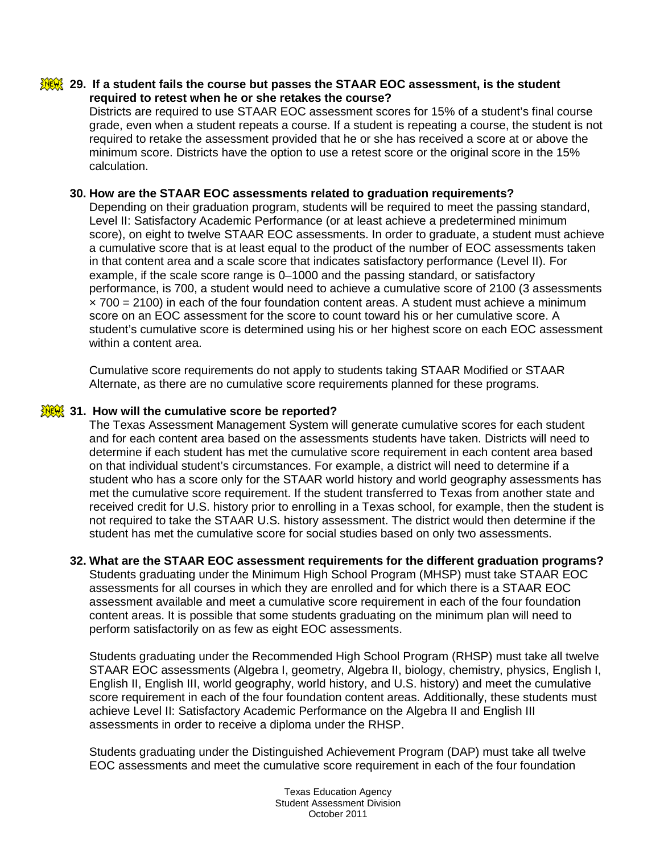#### **29. If a student fails the course but passes the STAAR EOC assessment, is the student required to retest when he or she retakes the course?**

Districts are required to use STAAR EOC assessment scores for 15% of a student's final course grade, even when a student repeats a course. If a student is repeating a course, the student is not required to retake the assessment provided that he or she has received a score at or above the minimum score. Districts have the option to use a retest score or the original score in the 15% calculation.

## **30. How are the STAAR EOC assessments related to graduation requirements?**

Depending on their graduation program, students will be required to meet the passing standard, Level II: Satisfactory Academic Performance (or at least achieve a predetermined minimum score), on eight to twelve STAAR EOC assessments. In order to graduate, a student must achieve a cumulative score that is at least equal to the product of the number of EOC assessments taken in that content area and a scale score that indicates satisfactory performance (Level II). For example, if the scale score range is 0–1000 and the passing standard, or satisfactory performance, is 700, a student would need to achieve a cumulative score of 2100 (3 assessments  $\times$  700 = 2100) in each of the four foundation content areas. A student must achieve a minimum score on an EOC assessment for the score to count toward his or her cumulative score. A student's cumulative score is determined using his or her highest score on each EOC assessment within a content area.

Cumulative score requirements do not apply to students taking STAAR Modified or STAAR Alternate, as there are no cumulative score requirements planned for these programs.

### **31. How will the cumulative score be reported?**

The Texas Assessment Management System will generate cumulative scores for each student and for each content area based on the assessments students have taken. Districts will need to determine if each student has met the cumulative score requirement in each content area based on that individual student's circumstances. For example, a district will need to determine if a student who has a score only for the STAAR world history and world geography assessments has met the cumulative score requirement. If the student transferred to Texas from another state and received credit for U.S. history prior to enrolling in a Texas school, for example, then the student is not required to take the STAAR U.S. history assessment. The district would then determine if the student has met the cumulative score for social studies based on only two assessments.

# **32. What are the STAAR EOC assessment requirements for the different graduation programs?**

Students graduating under the Minimum High School Program (MHSP) must take STAAR EOC assessments for all courses in which they are enrolled and for which there is a STAAR EOC assessment available and meet a cumulative score requirement in each of the four foundation content areas. It is possible that some students graduating on the minimum plan will need to perform satisfactorily on as few as eight EOC assessments.

Students graduating under the Recommended High School Program (RHSP) must take all twelve STAAR EOC assessments (Algebra I, geometry, Algebra II, biology, chemistry, physics, English I, English II, English III, world geography, world history, and U.S. history) and meet the cumulative score requirement in each of the four foundation content areas. Additionally, these students must achieve Level II: Satisfactory Academic Performance on the Algebra II and English III assessments in order to receive a diploma under the RHSP.

Students graduating under the Distinguished Achievement Program (DAP) must take all twelve EOC assessments and meet the cumulative score requirement in each of the four foundation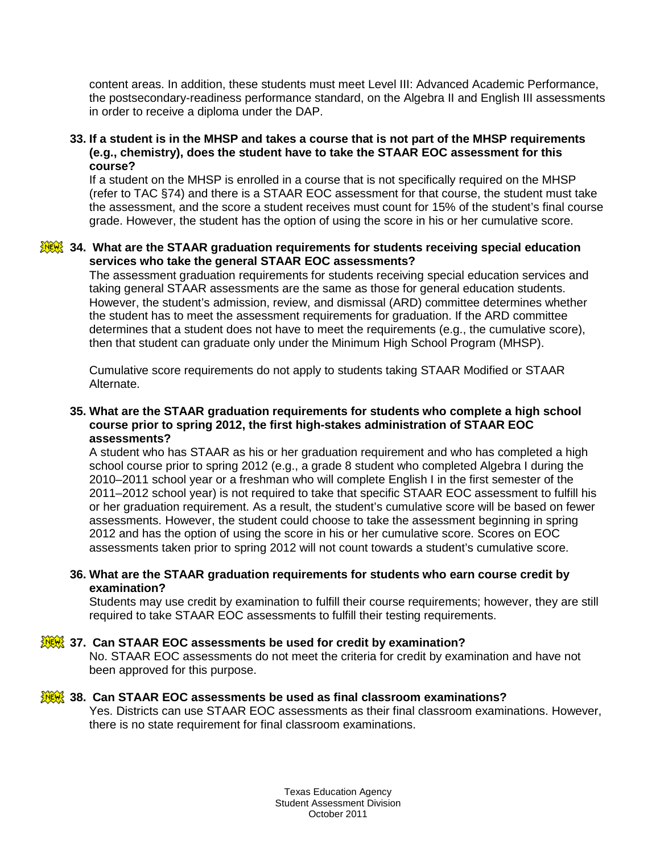content areas. In addition, these students must meet Level III: Advanced Academic Performance, the postsecondary-readiness performance standard, on the Algebra II and English III assessments in order to receive a diploma under the DAP.

#### **33. If a student is in the MHSP and takes a course that is not part of the MHSP requirements (e.g., chemistry), does the student have to take the STAAR EOC assessment for this course?**

If a student on the MHSP is enrolled in a course that is not specifically required on the MHSP (refer to TAC §74) and there is a STAAR EOC assessment for that course, the student must take the assessment, and the score a student receives must count for 15% of the student's final course grade. However, the student has the option of using the score in his or her cumulative score.

## **34. What are the STAAR graduation requirements for students receiving special education services who take the general STAAR EOC assessments?**

The assessment graduation requirements for students receiving special education services and taking general STAAR assessments are the same as those for general education students. However, the student's admission, review, and dismissal (ARD) committee determines whether the student has to meet the assessment requirements for graduation. If the ARD committee determines that a student does not have to meet the requirements (e.g., the cumulative score), then that student can graduate only under the Minimum High School Program (MHSP).

Cumulative score requirements do not apply to students taking STAAR Modified or STAAR Alternate.

## **35. What are the STAAR graduation requirements for students who complete a high school course prior to spring 2012, the first high-stakes administration of STAAR EOC assessments?**

A student who has STAAR as his or her graduation requirement and who has completed a high school course prior to spring 2012 (e.g., a grade 8 student who completed Algebra I during the 2010–2011 school year or a freshman who will complete English I in the first semester of the 2011–2012 school year) is not required to take that specific STAAR EOC assessment to fulfill his or her graduation requirement. As a result, the student's cumulative score will be based on fewer assessments. However, the student could choose to take the assessment beginning in spring 2012 and has the option of using the score in his or her cumulative score. Scores on EOC assessments taken prior to spring 2012 will not count towards a student's cumulative score.

# **36. What are the STAAR graduation requirements for students who earn course credit by examination?**

Students may use credit by examination to fulfill their course requirements; however, they are still required to take STAAR EOC assessments to fulfill their testing requirements.

# **37. Can STAAR EOC assessments be used for credit by examination?**

No. STAAR EOC assessments do not meet the criteria for credit by examination and have not been approved for this purpose.

# **38. Can STAAR EOC assessments be used as final classroom examinations?**

Yes. Districts can use STAAR EOC assessments as their final classroom examinations. However, there is no state requirement for final classroom examinations.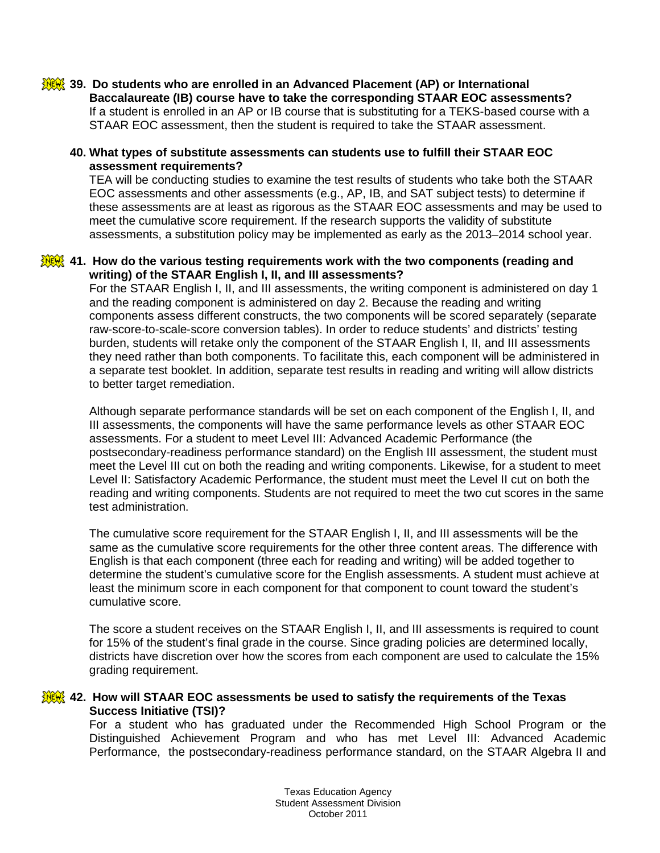#### **39. Do students who are enrolled in an Advanced Placement (AP) or International Baccalaureate (IB) course have to take the corresponding STAAR EOC assessments?** If a student is enrolled in an AP or IB course that is substituting for a TEKS-based course with a STAAR EOC assessment, then the student is required to take the STAAR assessment.

## **40. What types of substitute assessments can students use to fulfill their STAAR EOC assessment requirements?**

TEA will be conducting studies to examine the test results of students who take both the STAAR EOC assessments and other assessments (e.g., AP, IB, and SAT subject tests) to determine if these assessments are at least as rigorous as the STAAR EOC assessments and may be used to meet the cumulative score requirement. If the research supports the validity of substitute assessments, a substitution policy may be implemented as early as the 2013–2014 school year.

## **41. How do the various testing requirements work with the two components (reading and writing) of the STAAR English I, II, and III assessments?**

For the STAAR English I, II, and III assessments, the writing component is administered on day 1 and the reading component is administered on day 2. Because the reading and writing components assess different constructs, the two components will be scored separately (separate raw-score-to-scale-score conversion tables). In order to reduce students' and districts' testing burden, students will retake only the component of the STAAR English I, II, and III assessments they need rather than both components. To facilitate this, each component will be administered in a separate test booklet. In addition, separate test results in reading and writing will allow districts to better target remediation.

Although separate performance standards will be set on each component of the English I, II, and III assessments, the components will have the same performance levels as other STAAR EOC assessments. For a student to meet Level III: Advanced Academic Performance (the postsecondary-readiness performance standard) on the English III assessment, the student must meet the Level III cut on both the reading and writing components. Likewise, for a student to meet Level II: Satisfactory Academic Performance, the student must meet the Level II cut on both the reading and writing components. Students are not required to meet the two cut scores in the same test administration.

The cumulative score requirement for the STAAR English I, II, and III assessments will be the same as the cumulative score requirements for the other three content areas. The difference with English is that each component (three each for reading and writing) will be added together to determine the student's cumulative score for the English assessments. A student must achieve at least the minimum score in each component for that component to count toward the student's cumulative score.

The score a student receives on the STAAR English I, II, and III assessments is required to count for 15% of the student's final grade in the course. Since grading policies are determined locally, districts have discretion over how the scores from each component are used to calculate the 15% grading requirement.

### **42. How will STAAR EOC assessments be used to satisfy the requirements of the Texas Success Initiative (TSI)?**

For a student who has graduated under the Recommended High School Program or the Distinguished Achievement Program and who has met Level III: Advanced Academic Performance, the postsecondary-readiness performance standard, on the STAAR Algebra II and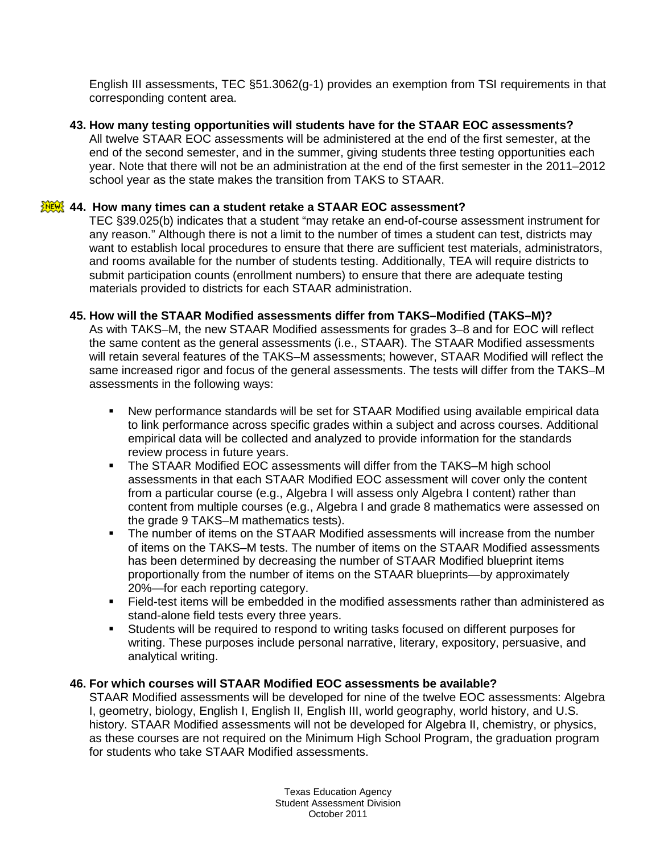English III assessments, TEC §51.3062(g-1) provides an exemption from TSI requirements in that corresponding content area.

## **43. How many testing opportunities will students have for the STAAR EOC assessments?**

All twelve STAAR EOC assessments will be administered at the end of the first semester, at the end of the second semester, and in the summer, giving students three testing opportunities each year. Note that there will not be an administration at the end of the first semester in the 2011–2012 school year as the state makes the transition from TAKS to STAAR.

# **44. How many times can a student retake a STAAR EOC assessment?**

TEC §39.025(b) indicates that a student "may retake an end-of-course assessment instrument for any reason." Although there is not a limit to the number of times a student can test, districts may want to establish local procedures to ensure that there are sufficient test materials, administrators, and rooms available for the number of students testing. Additionally, TEA will require districts to submit participation counts (enrollment numbers) to ensure that there are adequate testing materials provided to districts for each STAAR administration.

# **45. How will the STAAR Modified assessments differ from TAKS–Modified (TAKS–M)?**

As with TAKS–M, the new STAAR Modified assessments for grades 3–8 and for EOC will reflect the same content as the general assessments (i.e., STAAR). The STAAR Modified assessments will retain several features of the TAKS–M assessments; however, STAAR Modified will reflect the same increased rigor and focus of the general assessments. The tests will differ from the TAKS–M assessments in the following ways:

- New performance standards will be set for STAAR Modified using available empirical data to link performance across specific grades within a subject and across courses. Additional empirical data will be collected and analyzed to provide information for the standards review process in future years.
- The STAAR Modified EOC assessments will differ from the TAKS–M high school assessments in that each STAAR Modified EOC assessment will cover only the content from a particular course (e.g., Algebra I will assess only Algebra I content) rather than content from multiple courses (e.g., Algebra I and grade 8 mathematics were assessed on the grade 9 TAKS–M mathematics tests).
- The number of items on the STAAR Modified assessments will increase from the number of items on the TAKS–M tests. The number of items on the STAAR Modified assessments has been determined by decreasing the number of STAAR Modified blueprint items proportionally from the number of items on the STAAR blueprints—by approximately 20%—for each reporting category.
- Field-test items will be embedded in the modified assessments rather than administered as stand-alone field tests every three years.
- Students will be required to respond to writing tasks focused on different purposes for writing. These purposes include personal narrative, literary, expository, persuasive, and analytical writing.

# **46. For which courses will STAAR Modified EOC assessments be available?**

STAAR Modified assessments will be developed for nine of the twelve EOC assessments: Algebra I, geometry, biology, English I, English II, English III, world geography, world history, and U.S. history. STAAR Modified assessments will not be developed for Algebra II, chemistry, or physics, as these courses are not required on the Minimum High School Program, the graduation program for students who take STAAR Modified assessments.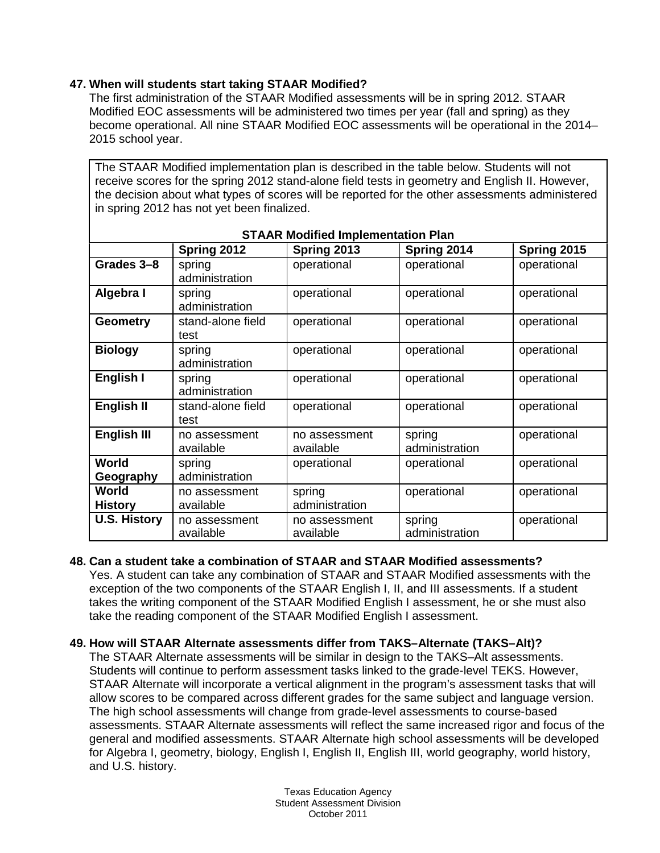# **47. When will students start taking STAAR Modified?**

The first administration of the STAAR Modified assessments will be in spring 2012. STAAR Modified EOC assessments will be administered two times per year (fall and spring) as they become operational. All nine STAAR Modified EOC assessments will be operational in the 2014– 2015 school year.

The STAAR Modified implementation plan is described in the table below. Students will not receive scores for the spring 2012 stand-alone field tests in geometry and English II. However, the decision about what types of scores will be reported for the other assessments administered in spring 2012 has not yet been finalized.

| <b>STAAR Modified Implementation Plan</b> |                            |                            |                          |             |  |  |  |
|-------------------------------------------|----------------------------|----------------------------|--------------------------|-------------|--|--|--|
|                                           | Spring 2012                | Spring 2013                | Spring 2014              | Spring 2015 |  |  |  |
| Grades 3-8                                | spring                     | operational                | operational              | operational |  |  |  |
|                                           | administration             |                            |                          |             |  |  |  |
| Algebra I                                 | spring<br>administration   | operational                | operational              | operational |  |  |  |
| <b>Geometry</b>                           | stand-alone field<br>test  | operational                | operational              | operational |  |  |  |
| <b>Biology</b>                            | spring<br>administration   | operational                | operational              | operational |  |  |  |
| English I                                 | spring<br>administration   | operational                | operational              | operational |  |  |  |
| English II                                | stand-alone field<br>test  | operational                | operational              | operational |  |  |  |
| English III                               | no assessment<br>available | no assessment<br>available | spring<br>administration | operational |  |  |  |
| World<br>Geography                        | spring<br>administration   | operational                | operational              | operational |  |  |  |
| World<br><b>History</b>                   | no assessment<br>available | spring<br>administration   | operational              | operational |  |  |  |
| <b>U.S. History</b>                       | no assessment<br>available | no assessment<br>available | spring<br>administration | operational |  |  |  |

|  | <b>STAAR Modified Implementation Plan</b> |  |
|--|-------------------------------------------|--|

#### **48. Can a student take a combination of STAAR and STAAR Modified assessments?**

Yes. A student can take any combination of STAAR and STAAR Modified assessments with the exception of the two components of the STAAR English I, II, and III assessments. If a student takes the writing component of the STAAR Modified English I assessment, he or she must also take the reading component of the STAAR Modified English I assessment.

# **49. How will STAAR Alternate assessments differ from TAKS–Alternate (TAKS–Alt)?**

The STAAR Alternate assessments will be similar in design to the TAKS–Alt assessments. Students will continue to perform assessment tasks linked to the grade-level TEKS. However, STAAR Alternate will incorporate a vertical alignment in the program's assessment tasks that will allow scores to be compared across different grades for the same subject and language version. The high school assessments will change from grade-level assessments to course-based assessments. STAAR Alternate assessments will reflect the same increased rigor and focus of the general and modified assessments. STAAR Alternate high school assessments will be developed for Algebra I, geometry, biology, English I, English II, English III, world geography, world history, and U.S. history.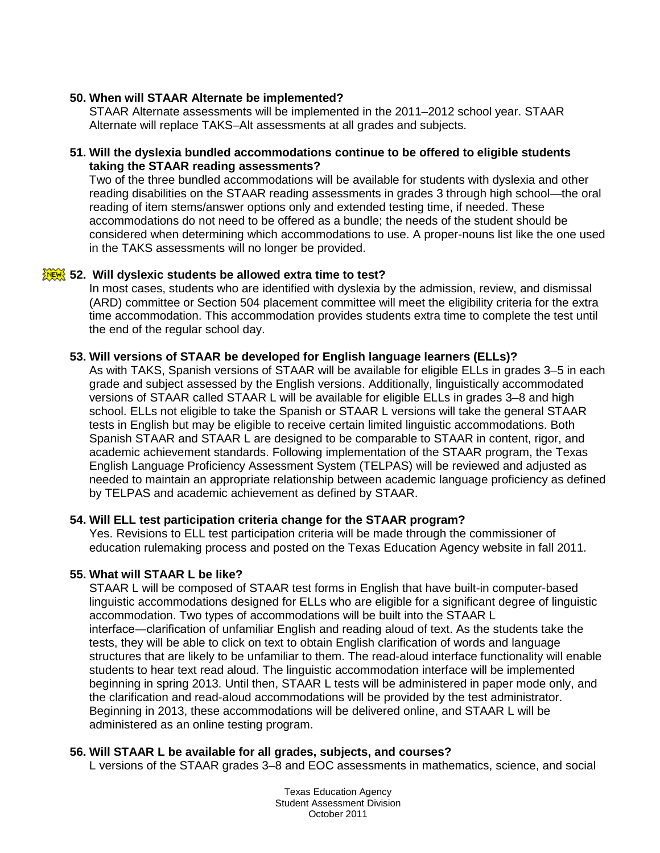## **50. When will STAAR Alternate be implemented?**

STAAR Alternate assessments will be implemented in the 2011–2012 school year. STAAR Alternate will replace TAKS–Alt assessments at all grades and subjects.

### **51. Will the dyslexia bundled accommodations continue to be offered to eligible students taking the STAAR reading assessments?**

Two of the three bundled accommodations will be available for students with dyslexia and other reading disabilities on the STAAR reading assessments in grades 3 through high school—the oral reading of item stems/answer options only and extended testing time, if needed. These accommodations do not need to be offered as a bundle; the needs of the student should be considered when determining which accommodations to use. A proper-nouns list like the one used in the TAKS assessments will no longer be provided.

# **52. Will dyslexic students be allowed extra time to test?**

In most cases, students who are identified with dyslexia by the admission, review, and dismissal (ARD) committee or Section 504 placement committee will meet the eligibility criteria for the extra time accommodation. This accommodation provides students extra time to complete the test until the end of the regular school day.

#### **53. Will versions of STAAR be developed for English language learners (ELLs)?**

As with TAKS, Spanish versions of STAAR will be available for eligible ELLs in grades 3–5 in each grade and subject assessed by the English versions. Additionally, linguistically accommodated versions of STAAR called STAAR L will be available for eligible ELLs in grades 3–8 and high school. ELLs not eligible to take the Spanish or STAAR L versions will take the general STAAR tests in English but may be eligible to receive certain limited linguistic accommodations. Both Spanish STAAR and STAAR L are designed to be comparable to STAAR in content, rigor, and academic achievement standards. Following implementation of the STAAR program, the Texas English Language Proficiency Assessment System (TELPAS) will be reviewed and adjusted as needed to maintain an appropriate relationship between academic language proficiency as defined by TELPAS and academic achievement as defined by STAAR.

#### **54. Will ELL test participation criteria change for the STAAR program?**

Yes. Revisions to ELL test participation criteria will be made through the commissioner of education rulemaking process and posted on the Texas Education Agency website in fall 2011.

#### **55. What will STAAR L be like?**

STAAR L will be composed of STAAR test forms in English that have built-in computer-based linguistic accommodations designed for ELLs who are eligible for a significant degree of linguistic accommodation. Two types of accommodations will be built into the STAAR L interface―clarification of unfamiliar English and reading aloud of text. As the students take the tests, they will be able to click on text to obtain English clarification of words and language structures that are likely to be unfamiliar to them. The read-aloud interface functionality will enable students to hear text read aloud. The linguistic accommodation interface will be implemented beginning in spring 2013. Until then, STAAR L tests will be administered in paper mode only, and the clarification and read-aloud accommodations will be provided by the test administrator. Beginning in 2013, these accommodations will be delivered online, and STAAR L will be administered as an online testing program.

#### **56. Will STAAR L be available for all grades, subjects, and courses?**

L versions of the STAAR grades 3–8 and EOC assessments in mathematics, science, and social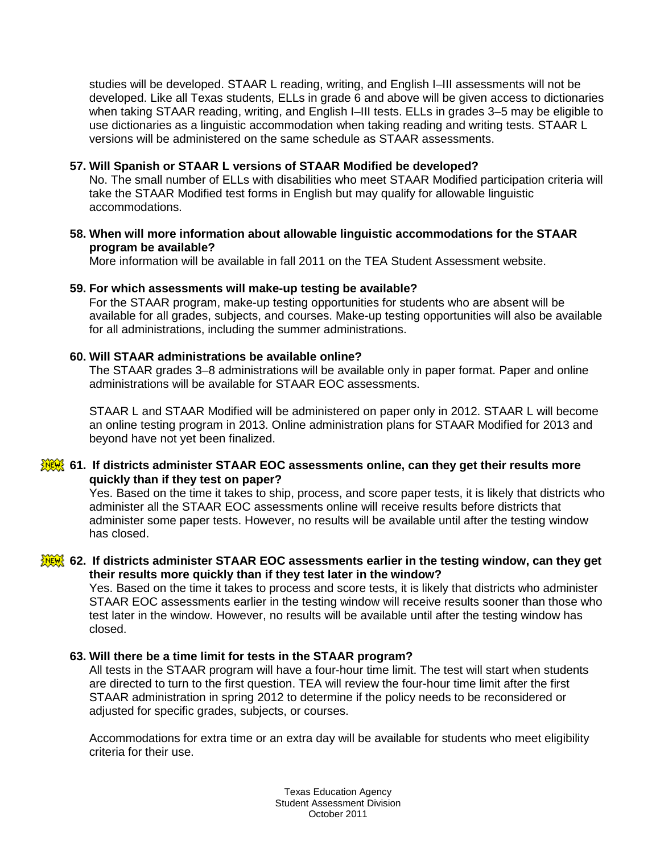studies will be developed. STAAR L reading, writing, and English I–III assessments will not be developed. Like all Texas students, ELLs in grade 6 and above will be given access to dictionaries when taking STAAR reading, writing, and English I–III tests. ELLs in grades 3–5 may be eligible to use dictionaries as a linguistic accommodation when taking reading and writing tests. STAAR L versions will be administered on the same schedule as STAAR assessments.

### **57. Will Spanish or STAAR L versions of STAAR Modified be developed?**

No. The small number of ELLs with disabilities who meet STAAR Modified participation criteria will take the STAAR Modified test forms in English but may qualify for allowable linguistic accommodations.

### **58. When will more information about allowable linguistic accommodations for the STAAR program be available?**

More information will be available in fall 2011 on the TEA Student Assessment website.

### **59. For which assessments will make-up testing be available?**

For the STAAR program, make-up testing opportunities for students who are absent will be available for all grades, subjects, and courses. Make-up testing opportunities will also be available for all administrations, including the summer administrations.

#### **60. Will STAAR administrations be available online?**

The STAAR grades 3–8 administrations will be available only in paper format. Paper and online administrations will be available for STAAR EOC assessments.

STAAR L and STAAR Modified will be administered on paper only in 2012. STAAR L will become an online testing program in 2013. Online administration plans for STAAR Modified for 2013 and beyond have not yet been finalized.

### **61. If districts administer STAAR EOC assessments online, can they get their results more quickly than if they test on paper?**

Yes. Based on the time it takes to ship, process, and score paper tests, it is likely that districts who administer all the STAAR EOC assessments online will receive results before districts that administer some paper tests. However, no results will be available until after the testing window has closed.

#### **62. If districts administer STAAR EOC assessments earlier in the testing window, can they get their results more quickly than if they test later in the window?**

Yes. Based on the time it takes to process and score tests, it is likely that districts who administer STAAR EOC assessments earlier in the testing window will receive results sooner than those who test later in the window. However, no results will be available until after the testing window has closed.

#### **63. Will there be a time limit for tests in the STAAR program?**

All tests in the STAAR program will have a four-hour time limit. The test will start when students are directed to turn to the first question. TEA will review the four-hour time limit after the first STAAR administration in spring 2012 to determine if the policy needs to be reconsidered or adjusted for specific grades, subjects, or courses.

Accommodations for extra time or an extra day will be available for students who meet eligibility criteria for their use.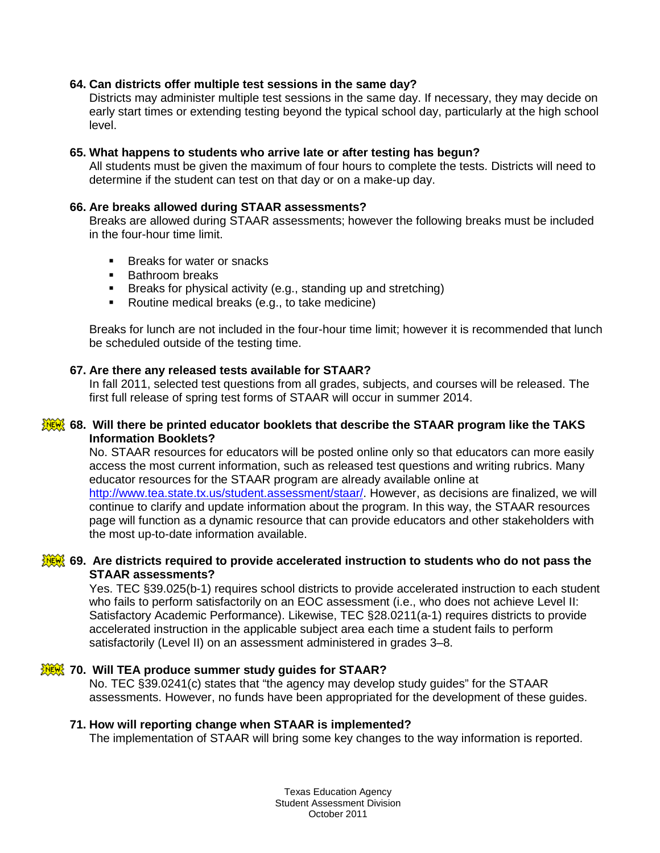### **64. Can districts offer multiple test sessions in the same day?**

Districts may administer multiple test sessions in the same day. If necessary, they may decide on early start times or extending testing beyond the typical school day, particularly at the high school level.

#### **65. What happens to students who arrive late or after testing has begun?**

All students must be given the maximum of four hours to complete the tests. Districts will need to determine if the student can test on that day or on a make-up day.

### **66. Are breaks allowed during STAAR assessments?**

Breaks are allowed during STAAR assessments; however the following breaks must be included in the four-hour time limit.

- **Breaks for water or snacks**
- **Bathroom breaks**
- Breaks for physical activity (e.g., standing up and stretching)
- Routine medical breaks (e.g., to take medicine)

Breaks for lunch are not included in the four-hour time limit; however it is recommended that lunch be scheduled outside of the testing time.

# **67. Are there any released tests available for STAAR?**

In fall 2011, selected test questions from all grades, subjects, and courses will be released. The first full release of spring test forms of STAAR will occur in summer 2014.

### **68. Will there be printed educator booklets that describe the STAAR program like the TAKS Information Booklets?**

No. STAAR resources for educators will be posted online only so that educators can more easily access the most current information, such as released test questions and writing rubrics. Many educator resources for the STAAR program are already available online at [http://www.tea.state.tx.us/student.assessment/staar/.](http://www.tea.state.tx.us/student.assessment/staar/) However, as decisions are finalized, we will continue to clarify and update information about the program. In this way, the STAAR resources page will function as a dynamic resource that can provide educators and other stakeholders with the most up-to-date information available.

# **69. Are districts required to provide accelerated instruction to students who do not pass the STAAR assessments?**

Yes. TEC §39.025(b-1) requires school districts to provide accelerated instruction to each student who fails to perform satisfactorily on an EOC assessment (i.e., who does not achieve Level II: Satisfactory Academic Performance). Likewise, TEC §28.0211(a-1) requires districts to provide accelerated instruction in the applicable subject area each time a student fails to perform satisfactorily (Level II) on an assessment administered in grades 3–8.

# **70. Will TEA produce summer study guides for STAAR?**

No. TEC §39.0241(c) states that "the agency may develop study guides" for the STAAR assessments. However, no funds have been appropriated for the development of these guides.

# **71. How will reporting change when STAAR is implemented?**

The implementation of STAAR will bring some key changes to the way information is reported.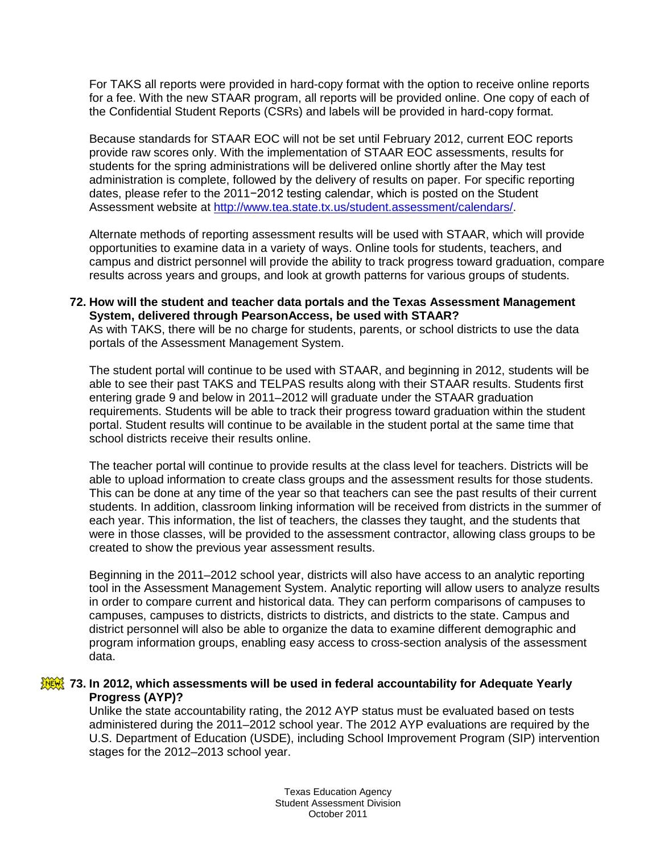For TAKS all reports were provided in hard-copy format with the option to receive online reports for a fee. With the new STAAR program, all reports will be provided online. One copy of each of the Confidential Student Reports (CSRs) and labels will be provided in hard-copy format.

Because standards for STAAR EOC will not be set until February 2012, current EOC reports provide raw scores only. With the implementation of STAAR EOC assessments, results for students for the spring administrations will be delivered online shortly after the May test administration is complete, followed by the delivery of results on paper. For specific reporting dates, please refer to the 2011−2012 testing calendar, which is posted on the Student Assessment website at [http://www.tea.state.tx.us/student.assessment/calendars/.](http://www.tea.state.tx.us/student.assessment/calendars/)

Alternate methods of reporting assessment results will be used with STAAR, which will provide opportunities to examine data in a variety of ways. Online tools for students, teachers, and campus and district personnel will provide the ability to track progress toward graduation, compare results across years and groups, and look at growth patterns for various groups of students.

### **72. How will the student and teacher data portals and the Texas Assessment Management System, delivered through PearsonAccess, be used with STAAR?**

As with TAKS, there will be no charge for students, parents, or school districts to use the data portals of the Assessment Management System.

The student portal will continue to be used with STAAR, and beginning in 2012, students will be able to see their past TAKS and TELPAS results along with their STAAR results. Students first entering grade 9 and below in 2011–2012 will graduate under the STAAR graduation requirements. Students will be able to track their progress toward graduation within the student portal. Student results will continue to be available in the student portal at the same time that school districts receive their results online.

The teacher portal will continue to provide results at the class level for teachers. Districts will be able to upload information to create class groups and the assessment results for those students. This can be done at any time of the year so that teachers can see the past results of their current students. In addition, classroom linking information will be received from districts in the summer of each year. This information, the list of teachers, the classes they taught, and the students that were in those classes, will be provided to the assessment contractor, allowing class groups to be created to show the previous year assessment results.

Beginning in the 2011–2012 school year, districts will also have access to an analytic reporting tool in the Assessment Management System. Analytic reporting will allow users to analyze results in order to compare current and historical data. They can perform comparisons of campuses to campuses, campuses to districts, districts to districts, and districts to the state. Campus and district personnel will also be able to organize the data to examine different demographic and program information groups, enabling easy access to cross-section analysis of the assessment data.

# **73. In 2012, which assessments will be used in federal accountability for Adequate Yearly Progress (AYP)?**

Unlike the state accountability rating, the 2012 AYP status must be evaluated based on tests administered during the 2011–2012 school year. The 2012 AYP evaluations are required by the U.S. Department of Education (USDE), including School Improvement Program (SIP) intervention stages for the 2012–2013 school year.